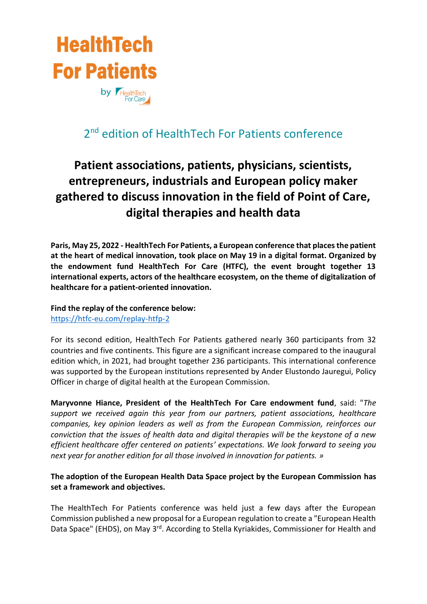

## 2<sup>nd</sup> edition of HealthTech For Patients conference

# **Patient associations, patients, physicians, scientists, entrepreneurs, industrials and European policy maker gathered to discuss innovation in the field of Point of Care, digital therapies and health data**

**Paris, May 25, 2022 - HealthTech For Patients, a European conference that places the patient at the heart of medical innovation, took place on May 19 in a digital format. Organized by the endowment fund HealthTech For Care (HTFC), the event brought together 13 international experts, actors of the healthcare ecosystem, on the theme of digitalization of healthcare for a patient-oriented innovation.** 

**Find the replay of the conference below:**

<https://htfc-eu.com/replay-htfp-2>

For its second edition, HealthTech For Patients gathered nearly 360 participants from 32 countries and five continents. This figure are a significant increase compared to the inaugural edition which, in 2021, had brought together 236 participants. This international conference was supported by the European institutions represented by Ander Elustondo Jauregui, Policy Officer in charge of digital health at the European Commission.

**Maryvonne Hiance, President of the HealthTech For Care endowment fund**, said: "*The support we received again this year from our partners, patient associations, healthcare companies, key opinion leaders as well as from the European Commission, reinforces our conviction that the issues of health data and digital therapies will be the keystone of a new efficient healthcare offer centered on patients' expectations. We look forward to seeing you next year for another edition for all those involved in innovation for patients. »*

## **The adoption of the European Health Data Space project by the European Commission has set a framework and objectives.**

The HealthTech For Patients conference was held just a few days after the European Commission published a new proposal for a European regulation to create a "European Health Data Space" (EHDS), on May 3<sup>rd</sup>. According to Stella Kyriakides, Commissioner for Health and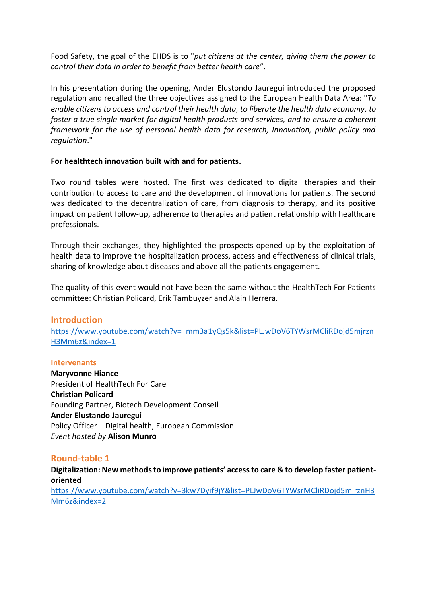Food Safety, the goal of the EHDS is to "*put citizens at the center, giving them the power to control their data in order to benefit from better health care*".

In his presentation during the opening, Ander Elustondo Jauregui introduced the proposed regulation and recalled the three objectives assigned to the European Health Data Area: "*To enable citizens to access and control their health data, to liberate the health data economy, to foster a true single market for digital health products and services, and to ensure a coherent framework for the use of personal health data for research, innovation, public policy and regulation*."

## **For healthtech innovation built with and for patients.**

Two round tables were hosted. The first was dedicated to digital therapies and their contribution to access to care and the development of innovations for patients. The second was dedicated to the decentralization of care, from diagnosis to therapy, and its positive impact on patient follow-up, adherence to therapies and patient relationship with healthcare professionals.

Through their exchanges, they highlighted the prospects opened up by the exploitation of health data to improve the hospitalization process, access and effectiveness of clinical trials, sharing of knowledge about diseases and above all the patients engagement.

The quality of this event would not have been the same without the HealthTech For Patients committee: Christian Policard, Erik Tambuyzer and Alain Herrera.

## **Introduction**

[https://www.youtube.com/watch?v=\\_mm3a1yQs5k&list=PLJwDoV6TYWsrMCliRDojd5mjrzn](https://www.youtube.com/watch?v=_mm3a1yQs5k&list=PLJwDoV6TYWsrMCliRDojd5mjrznH3Mm6z&index=1) [H3Mm6z&index=1](https://www.youtube.com/watch?v=_mm3a1yQs5k&list=PLJwDoV6TYWsrMCliRDojd5mjrznH3Mm6z&index=1)

## **Intervenants**

**Maryvonne Hiance** President of HealthTech For Care **Christian Policard** Founding Partner, Biotech Development Conseil **Ander Elustando Jauregui** Policy Officer – Digital health, European Commission *Event hosted by* **Alison Munro**

## **Round-table 1**

**Digitalization: New methods to improve patients' access to care & to develop faster patientoriented** [https://www.youtube.com/watch?v=3kw7Dyif9jY&list=PLJwDoV6TYWsrMCliRDojd5mjrznH3](https://www.youtube.com/watch?v=3kw7Dyif9jY&list=PLJwDoV6TYWsrMCliRDojd5mjrznH3Mm6z&index=2) [Mm6z&index=2](https://www.youtube.com/watch?v=3kw7Dyif9jY&list=PLJwDoV6TYWsrMCliRDojd5mjrznH3Mm6z&index=2)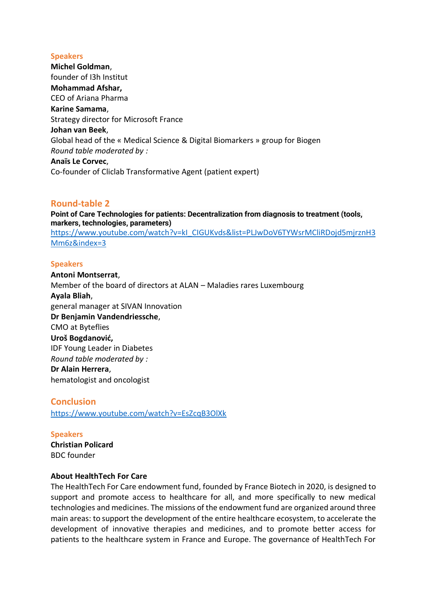#### **Speakers**

**Michel Goldman**, founder of I3h Institut **Mohammad Afshar,** CEO of Ariana Pharma **Karine Samama**, Strategy director for Microsoft France **Johan van Beek**, Global head of the « Medical Science & Digital Biomarkers » group for Biogen *Round table moderated by :* **Anaïs Le Corvec**, Co-founder of Cliclab Transformative Agent (patient expert)

## **Round-table 2**

**Point of Care Technologies for patients: Decentralization from diagnosis to treatment (tools, markers, technologies, parameters)** https://www.youtube.com/watch?v=kI\_CIGUKvds&list=PLJwDoV6TYWsrMCliRDojd5mirznH3 [Mm6z&index=3](https://www.youtube.com/watch?v=kI_CIGUKvds&list=PLJwDoV6TYWsrMCliRDojd5mjrznH3Mm6z&index=3)

#### **Speakers**

**Antoni Montserrat**, Member of the board of directors at ALAN – Maladies rares Luxembourg **Ayala Bliah**, general manager at SIVAN Innovation **Dr Benjamin Vandendriessche**, CMO at Byteflies **Uroš Bogdanović,** IDF Young Leader in Diabetes *Round table moderated by :* **Dr Alain Herrera**, hematologist and oncologist

**Conclusion** <https://www.youtube.com/watch?v=EsZcqB3OlXk>

**Speakers Christian Policard** BDC founder

#### **About HealthTech For Care**

The HealthTech For Care endowment fund, founded by France Biotech in 2020, is designed to support and promote access to healthcare for all, and more specifically to new medical technologies and medicines. The missions of the endowment fund are organized around three main areas: to support the development of the entire healthcare ecosystem, to accelerate the development of innovative therapies and medicines, and to promote better access for patients to the healthcare system in France and Europe. The governance of HealthTech For